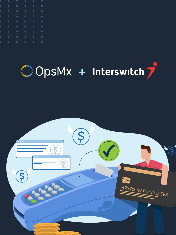|  |  | <b>PO O O O O</b>                                                                                  |  |
|--|--|----------------------------------------------------------------------------------------------------|--|
|  |  | <b>.</b>                                                                                           |  |
|  |  | <b>PO CO CO CO CO</b>                                                                              |  |
|  |  | <b>PO CONTROL</b>                                                                                  |  |
|  |  | <b>DO O O O O</b>                                                                                  |  |
|  |  | <b>PO CONTROL</b>                                                                                  |  |
|  |  | .                                                                                                  |  |
|  |  | <b>Product of the Communication of the Communication of the Communication of the Communication</b> |  |
|  |  | <b>Property</b> ( <i>C</i> ) <b>C</b>                                                              |  |

# ODSMx + Interswitch7

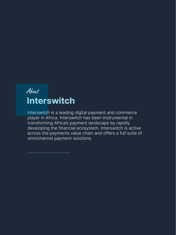# About **Interswitch**

Interswitch is a leading digital payment and commerce player in Africa. Interswitch has been instrumental in transforming Africa's payment landscape by rapidly developing the financial ecosystem. Interswitch is active across the payments value chain and offers a full suite of omnichannel payment solutions.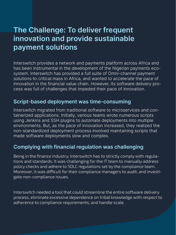# **The Challenge: To deliver frequent innovation and provide sustainable payment solutions**

Interswitch provides a network and payments platform across Africa and has been instrumental in the development of the Nigerian payments ecosystem. Interswitch has provided a full suite of Omni-channel payment solutions to critical mass in Africa, and wanted to accelerate the pace of innovation in the financial value chain. However, its software delivery process was full of challenges that impeded their pace of innovation.

## **Script-based deployment was time-consuming**

Interswitch migrated from traditional software to microservices and containerized applications. Initially, various teams wrote numerous scripts using Jenkins and SSH plugins to automate deployments into multiple environments. But, as the pace of innovation increased, they realized the non-standardized deployment process involved maintaining scripts that made software deployments slow and complex.

# **Complying with financial regulation was challenging**

Being in the finance industry, Interswitch has to strictly comply with regulations and standards. It was challenging for the IT team to manually address policy checks and adhere to SDLC regulations set by the compliance team. Moreover, it was difficult for their compliance managers to audit, and investigate non-compliance issues.

Interswitch needed a tool that could streamline the entire software delivery process, eliminate excessive dependence on tribal knowledge with respect to adherence to compliance requirements, and handle scale.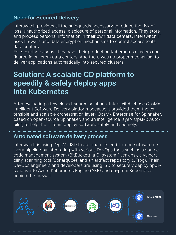# **Need for Secured Delivery**

Interswitch provides all the safeguards necessary to reduce the risk of loss, unauthorized access, disclosure of personal information. They store and process personal information in their own data centers. Interswitch IT uses firewalls and data encryption mechanisms to control access to its data centers.

For security reasons, they have their production Kubernetes clusters configured in on-prem data centers. And there was no proper mechanism to deliver applications automatically into secured clusters.

# **Solution: A scalable CD platform to speedily & safely deploy apps into Kubernetes**

After evaluating a few closed-source solutions, Interswitch chose OpsMx Intelligent Software Delivery platform because it provided them the extensible and scalable orchestration layer- OpsMx Enterprise for Spinnaker, based on open-source Spinnaker, and an intelligence layer- OpsMx Autopilot, to help the IT team deploy software safely and securely.

# **Automated software delivery process**

Interswitch is using OpsMx ISD to automate its end-to-end software delivery pipeline by integrating with various DevOps tools such as a source code management system (BitBucket), a CI system ( Jenkins), a vulnerability scanning tool (Sonarqube), and an artifact repository (JFrog). Their DevOps engineers and developers are using ISD to securely deploy applications into Azure Kubernetes Engine (AKE) and on-prem Kubernetes behind the firewall.

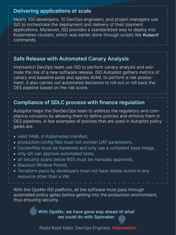#### **Delivering applications at scale**

Nearly 100 developers, 10 DevOps engineers, and project managers use ISD to orchestrate the deployment and delivery of their payment applications. Moreover, ISD provides a standardized way to deploy into Kubernetes clusters, which was earlier done through scripts like *Kubectl* commands.

### **Safe Release with Automated Canary Analysis**

Interswitch DevOps team use ISD to perform canary analysis and estimate the risk of a new software release. ISD Autopilot gathers metrics of canary and baseline pods and applies AI/ML to perform a risk assessment. It also carries out automated decisions to roll out or roll back the OES pipeline based on the risk score.

## **Compliance of SDLC process with finance regulation**

Autopilot helps the DevSecOps team to address the regulatory and compliance concerns by allowing them to define policies and enforce them in OES pipelines. A few examples of policies that are used in Autopilot policy gates are:

- valid YAML in Kubernetes manifest,
- production config files must not contain UAT parameters,
- Dockerfiles must be hardened and only use a compliant base image,
- only QA can approve automated tests,
- all security scans below 80% must be manually approved,
- Blackout Window Period,
- Terraform plans by developers must not have delete action in any resource other than a VM.

With the OpsMx ISD platform, all the software must pass through automated policy gates before getting into the production environment, thus ensuring security.

> With OpsMx, we have gone way ahead of what we could do with Spinnaker

Abdul Basit Kabir, DevOps Engineer, **Interswitch.**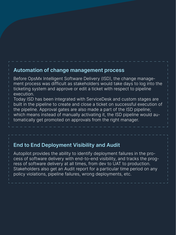#### **Automation of change management process**

Before OpsMx Intelligent Software Delivery (ISD), the change management process was difficult as stakeholders would take days to log into the ticketing system and approve or edit a ticket with respect to pipeline execution.

Today ISD has been integrated with ServiceDesk and custom stages are built in the pipeline to create and close a ticket on successful execution of the pipeline. Approval gates are also made a part of the ISD pipeline; which means instead of manually activating it, the ISD pipeline would automatically get promoted on approvals from the right manager.

## **End to End Deployment Visibility and Audit**

Autopilot provides the ability to identify deployment failures in the process of software delivery with end-to-end visibility, and tracks the progress of software delivery at all times, from dev to UAT to production. Stakeholders also get an Audit report for a particular time period on any policy violations, pipeline failures, wrong deployments, etc.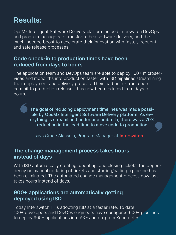# **Results:**

OpsMx Intelligent Software Delivery platform helped Interswitch DevOps and program managers to transform their software delivery, and the much-needed boost to accelerate their innovation with faster, frequent, and safe release processes.

#### **Code check-in to production times have been reduced from days to hours**

The application team and DevOps team are able to deploy 100+ microservices and monoliths into production faster with ISD pipelines streamlining their deployment and delivery process. Their lead time - from code commit to production release - has now been reduced from days to hours.

> The goal of reducing deployment timelines was made possible by OpsMx Intelligent Software Delivery platform. As everything is streamlined under one umbrella, there was a 70% reduction in the lead time to move code to production

says Grace Akinsola, Program Manager at **Interswitch.** 

#### **The change management process takes hours instead of days**

With ISD automatically creating, updating, and closing tickets, the dependency on manual updating of tickets and starting/halting a pipeline has been eliminated. The automated change management process now just takes hours instead of days.

### **900+ applications are automatically getting deployed using ISD**

Today Interswitch IT is adopting ISD at a faster rate. To date, 100+ developers and DevOps engineers have configured 600+ pipelines to deploy 900+ applications into AKE and on-prem Kubernetes.